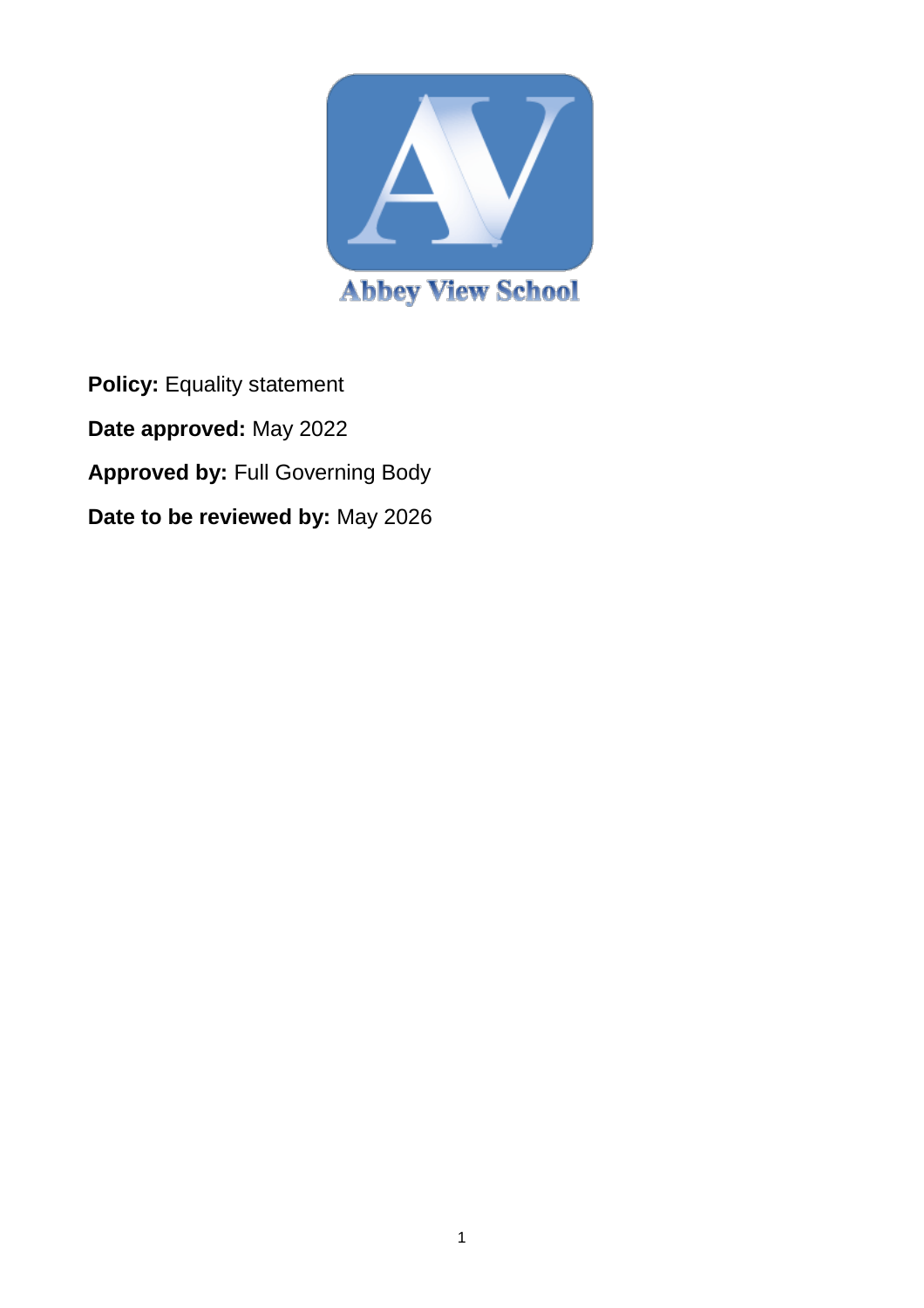

**Policy:** Equality statement **Date approved:** May 2022 **Approved by:** Full Governing Body **Date to be reviewed by:** May 2026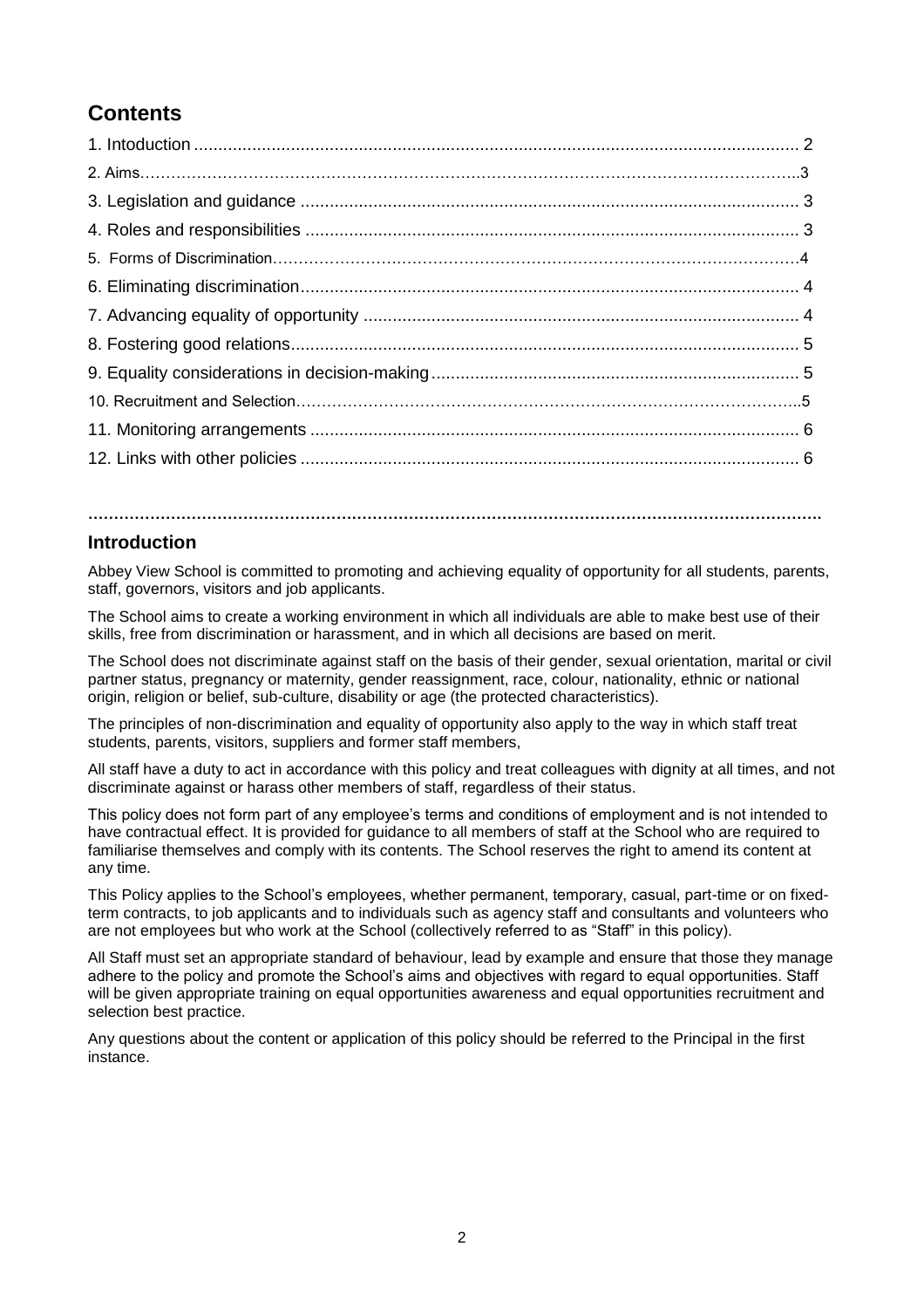# **Contents**

#### **Introduction**

Abbey View School is committed to promoting and achieving equality of opportunity for all students, parents, staff, governors, visitors and job applicants.

**…………………………………………………………………………………………………………………………….**

The School aims to create a working environment in which all individuals are able to make best use of their skills, free from discrimination or harassment, and in which all decisions are based on merit.

The School does not discriminate against staff on the basis of their gender, sexual orientation, marital or civil partner status, pregnancy or maternity, gender reassignment, race, colour, nationality, ethnic or national origin, religion or belief, sub-culture, disability or age (the protected characteristics).

The principles of non-discrimination and equality of opportunity also apply to the way in which staff treat students, parents, visitors, suppliers and former staff members,

All staff have a duty to act in accordance with this policy and treat colleagues with dignity at all times, and not discriminate against or harass other members of staff, regardless of their status.

This policy does not form part of any employee's terms and conditions of employment and is not intended to have contractual effect. It is provided for guidance to all members of staff at the School who are required to familiarise themselves and comply with its contents. The School reserves the right to amend its content at any time.

This Policy applies to the School's employees, whether permanent, temporary, casual, part-time or on fixedterm contracts, to job applicants and to individuals such as agency staff and consultants and volunteers who are not employees but who work at the School (collectively referred to as "Staff" in this policy).

All Staff must set an appropriate standard of behaviour, lead by example and ensure that those they manage adhere to the policy and promote the School's aims and objectives with regard to equal opportunities. Staff will be given appropriate training on equal opportunities awareness and equal opportunities recruitment and selection best practice.

Any questions about the content or application of this policy should be referred to the Principal in the first instance.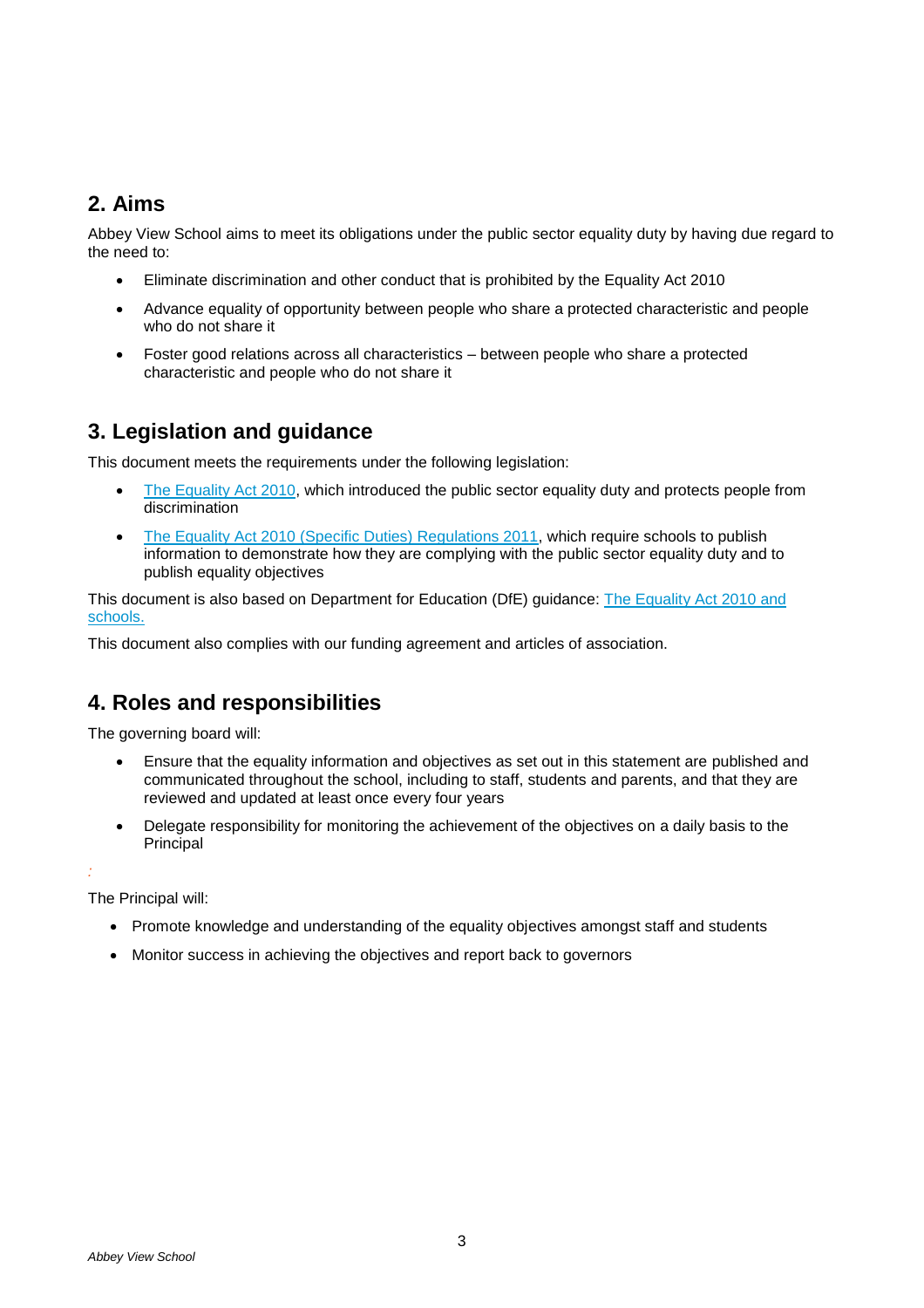### **2. Aims**

Abbey View School aims to meet its obligations under the public sector equality duty by having due regard to the need to:

- Eliminate discrimination and other conduct that is prohibited by the Equality Act 2010
- Advance equality of opportunity between people who share a protected characteristic and people who do not share it
- Foster good relations across all characteristics between people who share a protected characteristic and people who do not share it

### **3. Legislation and guidance**

This document meets the requirements under the following legislation:

- [The Equality Act 2010,](http://www.legislation.gov.uk/ukpga/2010/15/contents) which introduced the public sector equality duty and protects people from discrimination
- [The Equality Act 2010 \(Specific Duties\) Regulations 2011,](http://www.legislation.gov.uk/uksi/2011/2260/contents/made) which require schools to publish information to demonstrate how they are complying with the public sector equality duty and to publish equality objectives

This document is also based on Department for Education (DfE) guidance: [The Equality Act 2010 and](https://www.gov.uk/government/uploads/system/uploads/attachment_data/file/315587/Equality_Act_Advice_Final.pdf)  [schools.](https://www.gov.uk/government/uploads/system/uploads/attachment_data/file/315587/Equality_Act_Advice_Final.pdf) 

This document also complies with our funding agreement and articles of association.

### **4. Roles and responsibilities**

The governing board will:

- Ensure that the equality information and objectives as set out in this statement are published and communicated throughout the school, including to staff, students and parents, and that they are reviewed and updated at least once every four years
- Delegate responsibility for monitoring the achievement of the objectives on a daily basis to the **Principal**

*:*

The Principal will:

- Promote knowledge and understanding of the equality objectives amongst staff and students
- Monitor success in achieving the objectives and report back to governors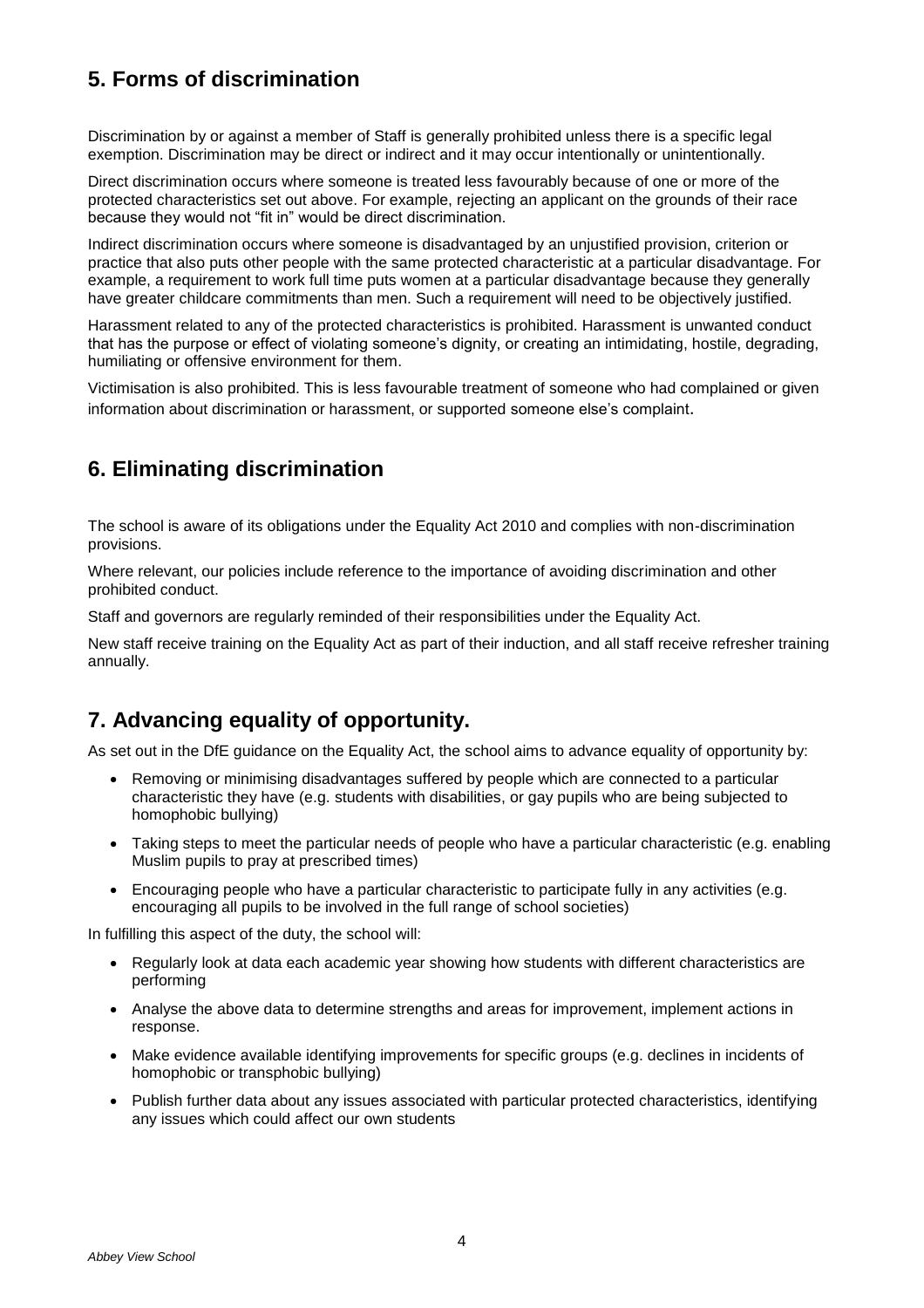# **5. Forms of discrimination**

Discrimination by or against a member of Staff is generally prohibited unless there is a specific legal exemption. Discrimination may be direct or indirect and it may occur intentionally or unintentionally.

Direct discrimination occurs where someone is treated less favourably because of one or more of the protected characteristics set out above. For example, rejecting an applicant on the grounds of their race because they would not "fit in" would be direct discrimination.

Indirect discrimination occurs where someone is disadvantaged by an unjustified provision, criterion or practice that also puts other people with the same protected characteristic at a particular disadvantage. For example, a requirement to work full time puts women at a particular disadvantage because they generally have greater childcare commitments than men. Such a requirement will need to be objectively justified.

Harassment related to any of the protected characteristics is prohibited. Harassment is unwanted conduct that has the purpose or effect of violating someone's dignity, or creating an intimidating, hostile, degrading, humiliating or offensive environment for them.

Victimisation is also prohibited. This is less favourable treatment of someone who had complained or given information about discrimination or harassment, or supported someone else's complaint.

### **6. Eliminating discrimination**

The school is aware of its obligations under the Equality Act 2010 and complies with non-discrimination provisions.

Where relevant, our policies include reference to the importance of avoiding discrimination and other prohibited conduct.

Staff and governors are regularly reminded of their responsibilities under the Equality Act.

New staff receive training on the Equality Act as part of their induction, and all staff receive refresher training annually.

### **7. Advancing equality of opportunity.**

As set out in the DfE guidance on the Equality Act, the school aims to advance equality of opportunity by:

- Removing or minimising disadvantages suffered by people which are connected to a particular characteristic they have (e.g. students with disabilities, or gay pupils who are being subjected to homophobic bullying)
- Taking steps to meet the particular needs of people who have a particular characteristic (e.g. enabling Muslim pupils to pray at prescribed times)
- Encouraging people who have a particular characteristic to participate fully in any activities (e.g. encouraging all pupils to be involved in the full range of school societies)

In fulfilling this aspect of the duty, the school will:

- Regularly look at data each academic year showing how students with different characteristics are performing
- Analyse the above data to determine strengths and areas for improvement, implement actions in response.
- Make evidence available identifying improvements for specific groups (e.g. declines in incidents of homophobic or transphobic bullying)
- Publish further data about any issues associated with particular protected characteristics, identifying any issues which could affect our own students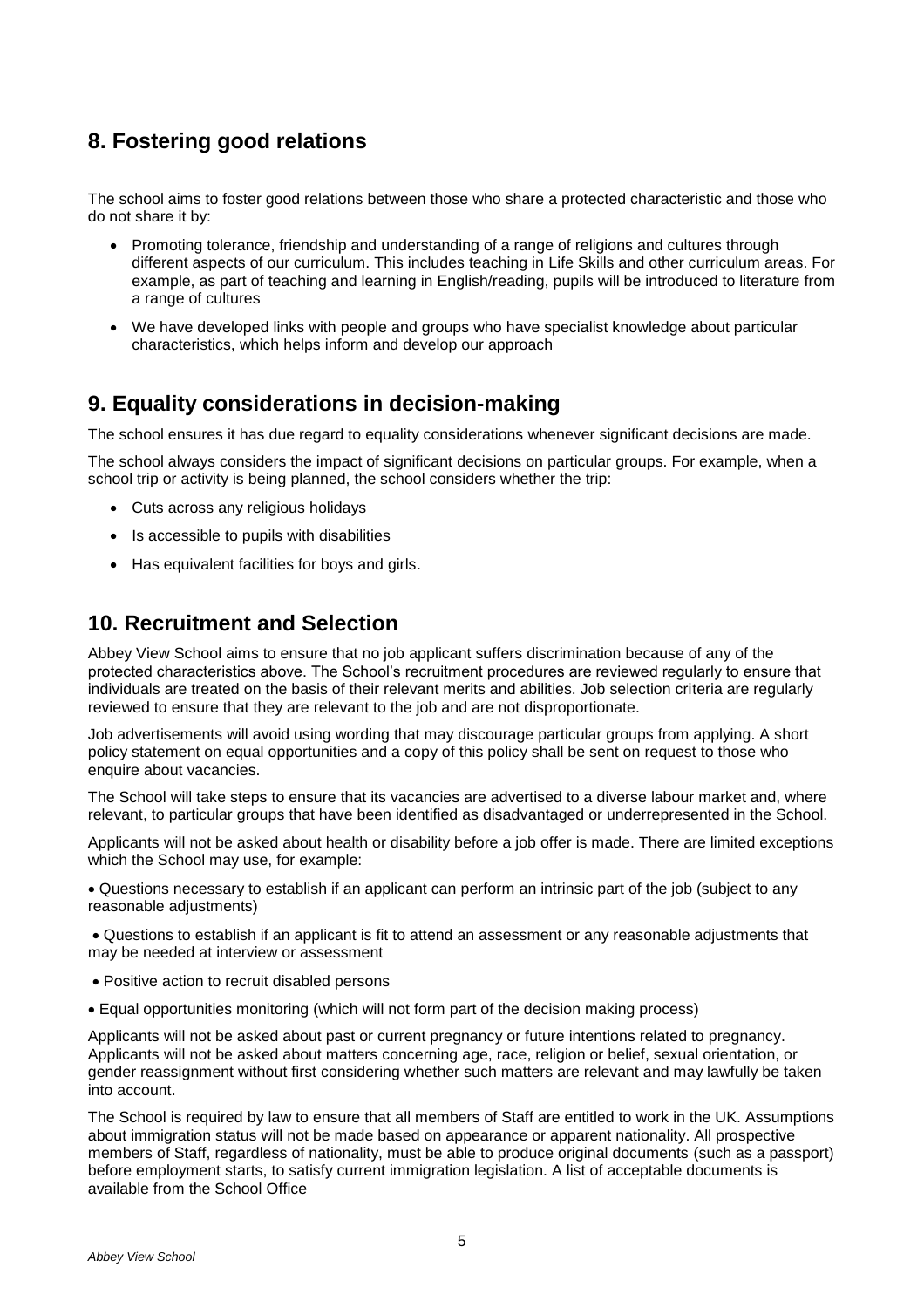## **8. Fostering good relations**

The school aims to foster good relations between those who share a protected characteristic and those who do not share it by:

- Promoting tolerance, friendship and understanding of a range of religions and cultures through different aspects of our curriculum. This includes teaching in Life Skills and other curriculum areas. For example, as part of teaching and learning in English/reading, pupils will be introduced to literature from a range of cultures
- We have developed links with people and groups who have specialist knowledge about particular characteristics, which helps inform and develop our approach

### **9. Equality considerations in decision-making**

The school ensures it has due regard to equality considerations whenever significant decisions are made.

The school always considers the impact of significant decisions on particular groups. For example, when a school trip or activity is being planned, the school considers whether the trip:

- Cuts across any religious holidays
- Is accessible to pupils with disabilities
- Has equivalent facilities for boys and girls.

### **10. Recruitment and Selection**

Abbey View School aims to ensure that no job applicant suffers discrimination because of any of the protected characteristics above. The School's recruitment procedures are reviewed regularly to ensure that individuals are treated on the basis of their relevant merits and abilities. Job selection criteria are regularly reviewed to ensure that they are relevant to the job and are not disproportionate.

Job advertisements will avoid using wording that may discourage particular groups from applying. A short policy statement on equal opportunities and a copy of this policy shall be sent on request to those who enquire about vacancies.

The School will take steps to ensure that its vacancies are advertised to a diverse labour market and, where relevant, to particular groups that have been identified as disadvantaged or underrepresented in the School.

Applicants will not be asked about health or disability before a job offer is made. There are limited exceptions which the School may use, for example:

• Questions necessary to establish if an applicant can perform an intrinsic part of the job (subject to any reasonable adjustments)

• Questions to establish if an applicant is fit to attend an assessment or any reasonable adjustments that may be needed at interview or assessment

- Positive action to recruit disabled persons
- Equal opportunities monitoring (which will not form part of the decision making process)

Applicants will not be asked about past or current pregnancy or future intentions related to pregnancy. Applicants will not be asked about matters concerning age, race, religion or belief, sexual orientation, or gender reassignment without first considering whether such matters are relevant and may lawfully be taken into account.

The School is required by law to ensure that all members of Staff are entitled to work in the UK. Assumptions about immigration status will not be made based on appearance or apparent nationality. All prospective members of Staff, regardless of nationality, must be able to produce original documents (such as a passport) before employment starts, to satisfy current immigration legislation. A list of acceptable documents is available from the School Office